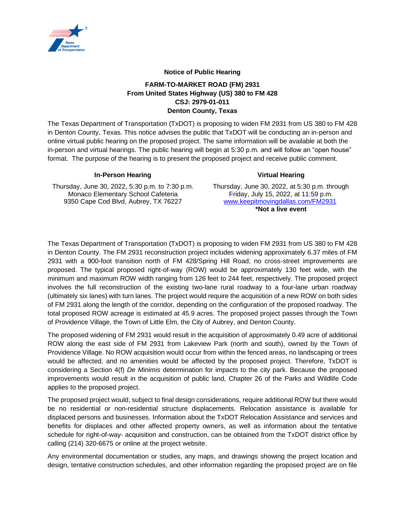

## **Notice of Public Hearing**

## **FARM-TO-MARKET ROAD (FM) 2931 From United States Highway (US) 380 to FM 428 CSJ: 2979-01-011 Denton County, Texas**

The Texas Department of Transportation (TxDOT) is proposing to widen FM 2931 from US 380 to FM 428 in Denton County, Texas. This notice advises the public that TxDOT will be conducting an in-person and online virtual public hearing on the proposed project. The same information will be available at both the in-person and virtual hearings. The public hearing will begin at 5:30 p.m. and will follow an "open house" format. The purpose of the hearing is to present the proposed project and receive public comment.

## **In-Person Hearing Virtual Hearing**

Thursday, June 30, 2022, 5:30 p.m. to 7:30 p.m. Monaco Elementary School Cafeteria 9350 Cape Cod Blvd, Aubrey, TX 76227

Thursday, June 30, 2022, at 5:30 p.m. through Friday, July 15, 2022, at 11:59 p.m.<br>www.keepitmovingdallas.com/FM2931 **\*Not a live event**

The Texas Department of Transportation (TxDOT) is proposing to widen FM 2931 from US 380 to FM 428 in Denton County. The FM 2931 reconstruction project includes widening approximately 6.37 miles of FM 2931 with a 900-foot transition north of FM 428/Spring Hill Road; no cross-street improvements are proposed. The typical proposed right-of-way (ROW) would be approximately 130 feet wide, with the minimum and maximum ROW width ranging from 126 feet to 244 feet, respectively. The proposed project involves the full reconstruction of the existing two-lane rural roadway to a four-lane urban roadway (ultimately six lanes) with turn lanes. The project would require the acquisition of a new ROW on both sides of FM 2931 along the length of the corridor, depending on the configuration of the proposed roadway. The total proposed ROW acreage is estimated at 45.9 acres. The proposed project passes through the Town of Providence Village, the Town of Little Elm, the City of Aubrey, and Denton County.

The proposed widening of FM 2931 would result in the acquisition of approximately 0.49 acre of additional ROW along the east side of FM 2931 from Lakeview Park (north and south), owned by the Town of Providence Village. No ROW acquisition would occur from within the fenced areas, no landscaping or trees would be affected, and no amenities would be affected by the proposed project. Therefore, TxDOT is considering a Section 4(f) *De Minimis* determination for impacts to the city park. Because the proposed improvements would result in the acquisition of public land, Chapter 26 of the Parks and Wildlife Code applies to the proposed project.

The proposed project would, subject to final design considerations, require additional ROW but there would be no residential or non-residential structure displacements. Relocation assistance is available for displaced persons and businesses. Information about the TxDOT Relocation Assistance and services and benefits for displaces and other affected property owners, as well as information about the tentative schedule for right-of-way- acquisition and construction, can be obtained from the TxDOT district office by calling (214) 320-6675 or online at the project website.

Any environmental documentation or studies, any maps, and drawings showing the project location and design, tentative construction schedules, and other information regarding the proposed project are on file